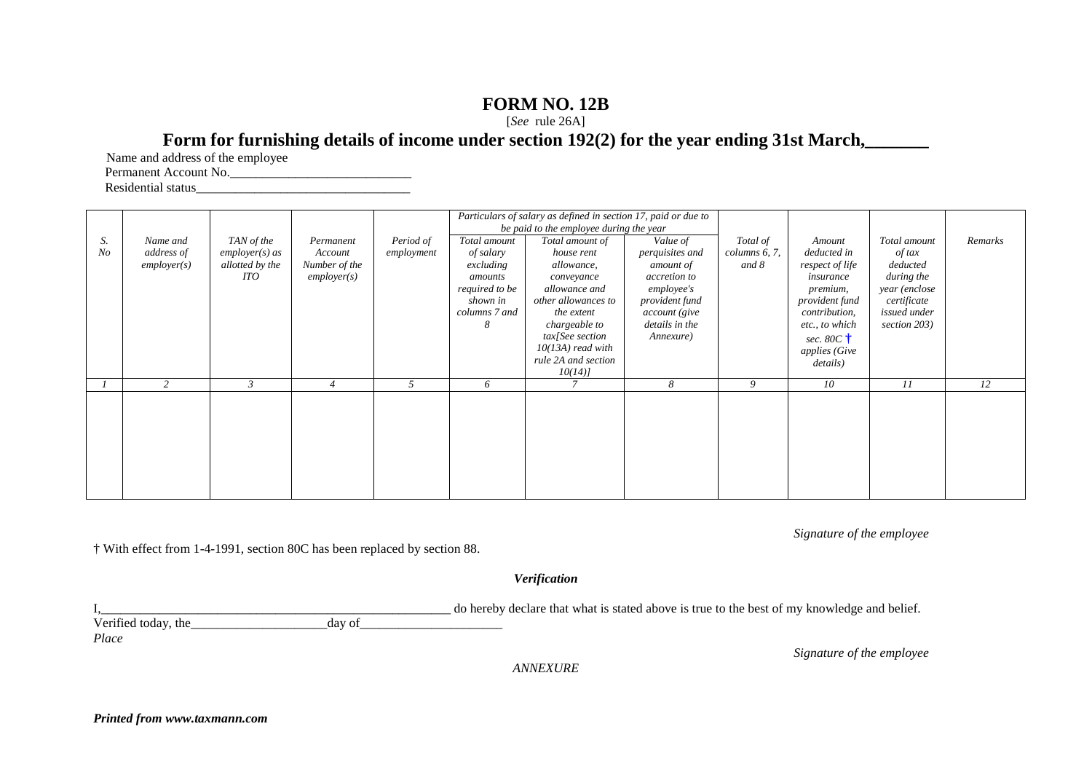## **FORM NO. 12B**

[*See* rule 26A]

## Form for furnishing details of income under section 192(2) for the year ending 31st March,

Name and address of the employee

Permanent Account No.\_\_\_\_\_\_\_\_\_\_\_\_\_\_\_\_\_\_\_\_\_\_\_\_\_\_\_\_

Residential status\_\_\_\_\_\_\_\_\_\_\_\_\_\_\_\_\_\_\_\_\_\_\_\_\_\_\_\_\_\_\_\_\_

|                |            |                  |                |            | Particulars of salary as defined in section 17, paid or due to |                               |                 |                  |                              |               |         |
|----------------|------------|------------------|----------------|------------|----------------------------------------------------------------|-------------------------------|-----------------|------------------|------------------------------|---------------|---------|
|                |            |                  |                |            | be paid to the employee during the year                        |                               |                 |                  |                              |               |         |
| S.             | Name and   | TAN of the       | Permanent      | Period of  | Total amount                                                   | Total amount of               | Value of        | Total of         | Amount                       | Total amount  | Remarks |
| N <sub>O</sub> | address of | $employer(s)$ as | Account        | employment | of salary                                                      | house rent                    | perquisites and | $columns\ 6, 7,$ | deducted in                  | of tax        |         |
|                | emplyer(s) | allotted by the  | Number of the  |            | excluding                                                      | allowance,                    | amount of       | and 8            | respect of life              | deducted      |         |
|                |            | ITO              | emplayer(s)    |            | amounts                                                        | conveyance                    | accretion to    |                  | insurance                    | during the    |         |
|                |            |                  |                |            | required to be                                                 | allowance and                 | employee's      |                  | premium,                     | year (enclose |         |
|                |            |                  |                |            | shown in                                                       | other allowances to           | provident fund  |                  | provident fund               | certificate   |         |
|                |            |                  |                |            | columns 7 and                                                  | the extent                    | account (give   |                  | <i>contribution,</i>         | issued under  |         |
|                |            |                  |                |            | 8                                                              | chargeable to                 | details in the  |                  | etc., to which               | section 203)  |         |
|                |            |                  |                |            |                                                                | tax[See section               | Annexure)       |                  | sec. 80 $C \dagger$          |               |         |
|                |            |                  |                |            |                                                                | $10(13A)$ read with           |                 |                  | <i>applies</i> ( <i>Give</i> |               |         |
|                |            |                  |                |            |                                                                | rule 2A and section<br>10(14) |                 |                  | details)                     |               |         |
|                | 2          | $\mathfrak{Z}$   | $\overline{4}$ |            | 6                                                              |                               | 8               | 9                | 10                           | 11            | 12      |
|                |            |                  |                |            |                                                                |                               |                 |                  |                              |               |         |
|                |            |                  |                |            |                                                                |                               |                 |                  |                              |               |         |
|                |            |                  |                |            |                                                                |                               |                 |                  |                              |               |         |
|                |            |                  |                |            |                                                                |                               |                 |                  |                              |               |         |
|                |            |                  |                |            |                                                                |                               |                 |                  |                              |               |         |
|                |            |                  |                |            |                                                                |                               |                 |                  |                              |               |         |
|                |            |                  |                |            |                                                                |                               |                 |                  |                              |               |         |
|                |            |                  |                |            |                                                                |                               |                 |                  |                              |               |         |
|                |            |                  |                |            |                                                                |                               |                 |                  |                              |               |         |

*Signature of the employee* 

† With effect from 1-4-1991, section 80C has been replaced by section 88.

*Verification* 

I,\_\_\_\_\_\_\_\_\_\_\_\_\_\_\_\_\_\_\_\_\_\_\_\_\_\_\_\_\_\_\_\_\_\_\_\_\_\_\_\_\_\_\_\_\_\_\_\_\_\_\_\_\_\_ do hereby declare that what is stated above is true to the best of my knowledge and belief.

Verified today, the\_\_\_\_\_\_\_\_\_\_\_\_\_\_\_\_\_\_\_\_\_day of\_\_\_\_\_\_\_\_\_\_\_\_\_\_\_\_\_\_\_\_\_\_

*Place* 

*Signature of the employee* 

*ANNEXURE*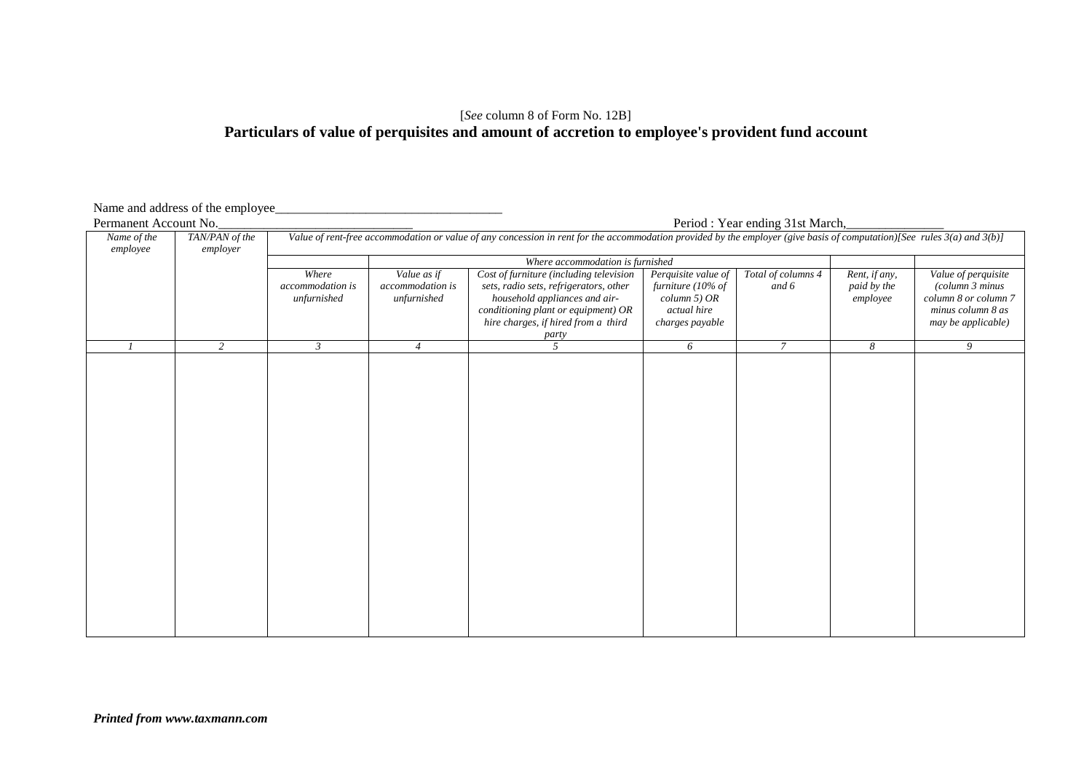### [*See* column 8 of Form No. 12B] **Particulars of value of perquisites and amount of accretion to employee's provident fund account**

# Name and address of the employee\_<br>Permanent Account No.

Period : Year ending 31st March, *Name of the employee TAN/PAN of the employer Value of rent-free accommodation or value of any concession in rent for the accommodation provided by the employer (give basis of computation)[See rules 3(a) and 3(b)] Where accommodation is furnished Where Where accommodation is unfurnished Value as if accommodation is unfurnished Cost of furniture (including television sets, radio sets, refrigerators, other household appliances and airconditioning plant or equipment) OR hire charges, if hired from a third party Perquisite value of furniture (10% of column 5) OR actual hire charges payable Total of columns 4 and 6 Rent, if any, paid by the employee Value of perquisite (column 3 minus column 8 or column 7 minus column 8 as may be applicable) 1 2 3 4 5 6 7 8 9*